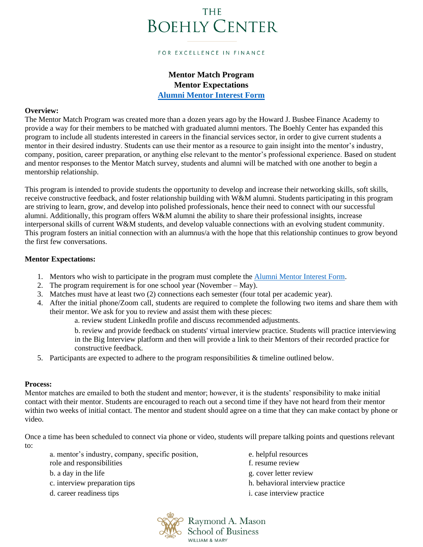# **THE BOEHLY CENTER**

#### FOR EXCELLENCE IN FINANCE

# **Mentor Match Program Mentor Expectations**

**[Alumni Mentor Interest Form](https://wmsas.qualtrics.com/jfe/form/SV_9ZA5CVPdWbMl7cq)**

## **Overview:**

The Mentor Match Program was created more than a dozen years ago by the Howard J. Busbee Finance Academy to provide a way for their members to be matched with graduated alumni mentors. The Boehly Center has expanded this program to include all students interested in careers in the financial services sector, in order to give current students a mentor in their desired industry. Students can use their mentor as a resource to gain insight into the mentor's industry, company, position, career preparation, or anything else relevant to the mentor's professional experience. Based on student and mentor responses to the Mentor Match survey, students and alumni will be matched with one another to begin a mentorship relationship.

This program is intended to provide students the opportunity to develop and increase their networking skills, soft skills, receive constructive feedback, and foster relationship building with W&M alumni. Students participating in this program are striving to learn, grow, and develop into polished professionals, hence their need to connect with our successful alumni. Additionally, this program offers W&M alumni the ability to share their professional insights, increase interpersonal skills of current W&M students, and develop valuable connections with an evolving student community. This program fosters an initial connection with an alumnus/a with the hope that this relationship continues to grow beyond the first few conversations.

### **Mentor Expectations:**

- 1. Mentors who wish to participate in the program must complete the [Alumni Mentor Interest Form.](https://wmsas.qualtrics.com/jfe/form/SV_9ZA5CVPdWbMl7cq)
- 2. The program requirement is for one school year (November May).
- 3. Matches must have at least two (2) connections each semester (four total per academic year).
- 4. After the initial phone/Zoom call, students are required to complete the following two items and share them with their mentor. We ask for you to review and assist them with these pieces:

a. review student LinkedIn profile and discuss recommended adjustments.

b. review and provide feedback on students' virtual interview practice. Students will practice interviewing in the Big Interview platform and then will provide a link to their Mentors of their recorded practice for constructive feedback.

5. Participants are expected to adhere to the program responsibilities & timeline outlined below.

# **Process:**

Mentor matches are emailed to both the student and mentor; however, it is the students' responsibility to make initial contact with their mentor. Students are encouraged to reach out a second time if they have not heard from their mentor within two weeks of initial contact. The mentor and student should agree on a time that they can make contact by phone or video.

Once a time has been scheduled to connect via phone or video, students will prepare talking points and questions relevant to:

| a. mentor's industry, company, specific position, | e. helpful resources              |
|---------------------------------------------------|-----------------------------------|
| role and responsibilities                         | f. resume review                  |
| b. a day in the life                              | g. cover letter review            |
| c. interview preparation tips                     | h. behavioral interview practice  |
| d. career readiness tips                          | <i>i.</i> case interview practice |